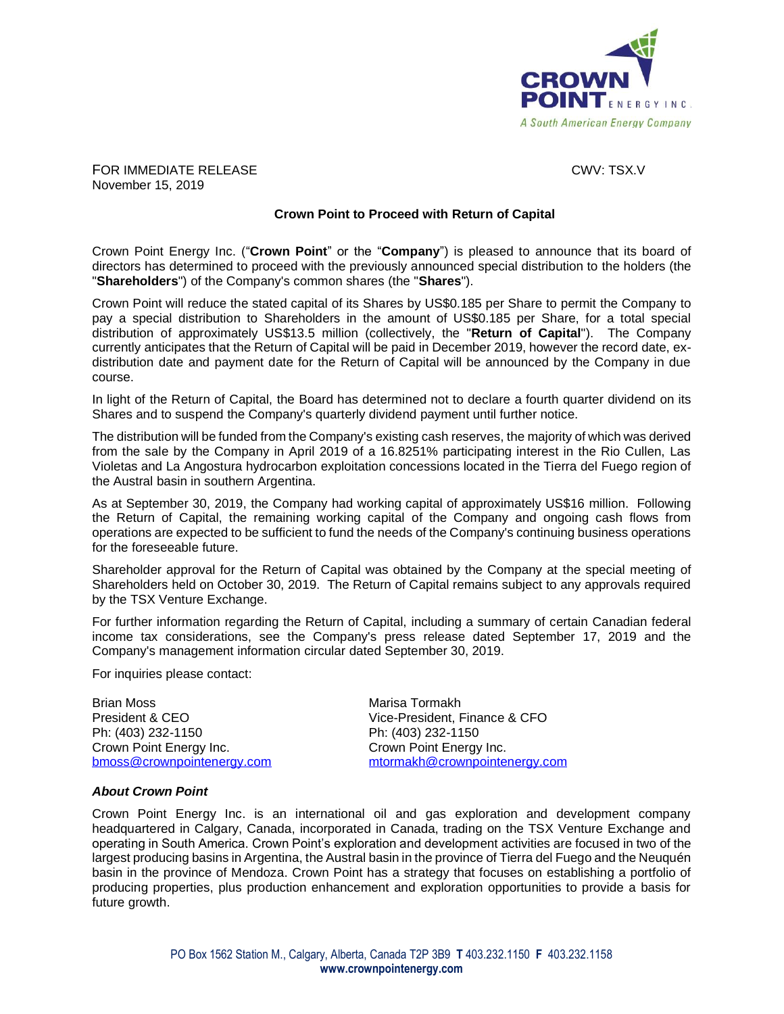

**FOR IMMEDIATE RELEASE CWV: TSX.V** November 15, 2019

## **Crown Point to Proceed with Return of Capital**

Crown Point Energy Inc. ("**Crown Point**" or the "**Company**") is pleased to announce that its board of directors has determined to proceed with the previously announced special distribution to the holders (the "**Shareholders**") of the Company's common shares (the "**Shares**").

Crown Point will reduce the stated capital of its Shares by US\$0.185 per Share to permit the Company to pay a special distribution to Shareholders in the amount of US\$0.185 per Share, for a total special distribution of approximately US\$13.5 million (collectively, the "**Return of Capital**"). The Company currently anticipates that the Return of Capital will be paid in December 2019, however the record date, exdistribution date and payment date for the Return of Capital will be announced by the Company in due course.

In light of the Return of Capital, the Board has determined not to declare a fourth quarter dividend on its Shares and to suspend the Company's quarterly dividend payment until further notice.

The distribution will be funded from the Company's existing cash reserves, the majority of which was derived from the sale by the Company in April 2019 of a 16.8251% participating interest in the Rio Cullen, Las Violetas and La Angostura hydrocarbon exploitation concessions located in the Tierra del Fuego region of the Austral basin in southern Argentina.

As at September 30, 2019, the Company had working capital of approximately US\$16 million. Following the Return of Capital, the remaining working capital of the Company and ongoing cash flows from operations are expected to be sufficient to fund the needs of the Company's continuing business operations for the foreseeable future.

Shareholder approval for the Return of Capital was obtained by the Company at the special meeting of Shareholders held on October 30, 2019. The Return of Capital remains subject to any approvals required by the TSX Venture Exchange.

For further information regarding the Return of Capital, including a summary of certain Canadian federal income tax considerations, see the Company's press release dated September 17, 2019 and the Company's management information circular dated September 30, 2019.

For inquiries please contact:

Brian Moss<br>
President & CEO<br>
Vice-President. F Ph: (403) 232-1150 Ph: (403) 232-1150 Crown Point Energy Inc.<br>
bmoss@crownpointenergy.com enter make the moss @crownpointenergy.com mormakh@crownpointer

Vice-President, Finance & CFO [bmoss@crownpointenergy.com](mailto:bmoss@crownpointenergy.com) [mtormakh@crownpointenergy.com](mailto:amadden@crownpointenergy.com)

## *About Crown Point*

Crown Point Energy Inc. is an international oil and gas exploration and development company headquartered in Calgary, Canada, incorporated in Canada, trading on the TSX Venture Exchange and operating in South America. Crown Point's exploration and development activities are focused in two of the largest producing basins in Argentina, the Austral basin in the province of Tierra del Fuego and the Neuquén basin in the province of Mendoza. Crown Point has a strategy that focuses on establishing a portfolio of producing properties, plus production enhancement and exploration opportunities to provide a basis for future growth.